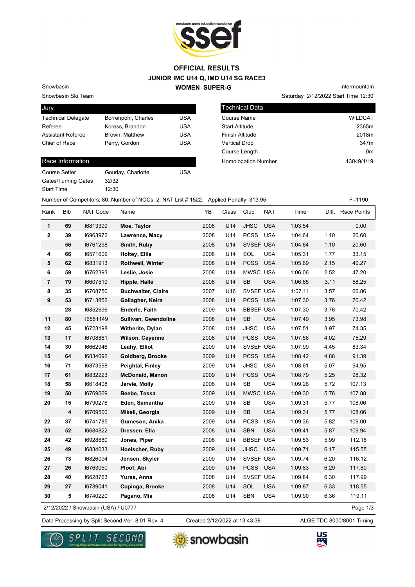

## **JUNIOR IMC U14 Q, IMD U14 SG RACE3 WOMEN SUPER-G OFFICIAL RESULTS**

Snowbasin Ski Team

Snowbasin

| Jury                      |                     |            |
|---------------------------|---------------------|------------|
| <b>Technical Delegate</b> | Borrenpohl, Charles | USA        |
| Referee                   | Koress, Brandon     | <b>USA</b> |
| <b>Assistant Referee</b>  | Brown, Matthew      | <b>USA</b> |
| Chief of Race             | Perry, Gordon       | <b>USA</b> |
|                           |                     |            |

12:30

## Race Information

| Course Setter              |  |
|----------------------------|--|
| <b>Gates/Turning Gates</b> |  |
| <b>Start Time</b>          |  |

Gourlay, Charlotte **USA** 32/32

Saturday 2/12/2022 Start Time 12:30 Intermountain

| l Technical Data           |                |
|----------------------------|----------------|
| Course Name                | <b>WILDCAT</b> |
| <b>Start Altitude</b>      | 2365m          |
| <b>Finish Altitude</b>     | 2018m          |
| <b>Vertical Drop</b>       | 347m           |
| Course Length              | 0m             |
| <b>Homologation Number</b> | 13049/1/19     |
|                            |                |

Number of Competitors: 80, Number of NOCs: 2, NAT List # 1522, Applied Penalty 313.95 F=1190

| Rank | Bib | NAT Code                            | Name                      | YB   | Class | Club             | <b>NAT</b> | Time    |      | Diff. Race Points |
|------|-----|-------------------------------------|---------------------------|------|-------|------------------|------------|---------|------|-------------------|
| 1    | 69  | 16813399                            | Moe, Taylor               | 2008 | U14   | <b>JHSC</b>      | <b>USA</b> | 1:03.54 |      | 0.00              |
| 2    | 39  | 16963972                            | Lawrence, Macy            | 2008 | U14   | <b>PCSS</b>      | <b>USA</b> | 1:04.64 | 1.10 | 20.60             |
|      | 56  | 16761298                            | Smith, Ruby               | 2008 | U14   | SVSEF USA        |            | 1:04.64 | 1.10 | 20.60             |
| 4    | 66  | 16571609                            | Holtey, Ellie             | 2008 | U14   | SOL              | <b>USA</b> | 1:05.31 | 1.77 | 33.15             |
| 5    | 62  | 16831913                            | <b>Rothwell, Winter</b>   | 2008 | U14   | <b>PCSS</b>      | <b>USA</b> | 1:05.69 | 2.15 | 40.27             |
| 6    | 59  | 16762393                            | Leslie, Josie             | 2008 | U14   | MWSC USA         |            | 1:06.06 | 2.52 | 47.20             |
| 7    | 79  | 16607519                            | Hipple, Halle             | 2008 | U14   | <b>SB</b>        | <b>USA</b> | 1:06.65 | 3.11 | 58.25             |
| 8    | 35  | 16708750                            | <b>Buchwalter, Claire</b> | 2007 | U16   | SVSEF USA        |            | 1:07.11 | 3.57 | 66.86             |
| 9    | 53  | 16713852                            | Gallagher, Keira          | 2008 | U14   | PCSS USA         |            | 1:07.30 | 3.76 | 70.42             |
|      | 28  | 16852696                            | Enderle, Faith            | 2009 | U14   | <b>BBSEF USA</b> |            | 1:07.30 | 3.76 | 70.42             |
| 11   | 80  | 16551149                            | Sullivan, Gwendoline      | 2008 | U14   | <b>SB</b>        | <b>USA</b> | 1:07.49 | 3.95 | 73.98             |
| 12   | 45  | 16723198                            | Witherite, Dylan          | 2008 | U14   | <b>JHSC</b>      | <b>USA</b> | 1:07.51 | 3.97 | 74.35             |
| 13   | 17  | 16708861                            | <b>Wilson, Cayenne</b>    | 2008 | U14   | <b>PCSS</b>      | <b>USA</b> | 1:07.56 | 4.02 | 75.29             |
| 14   | 30  | 16662946                            | Leahy, Elliot             | 2009 | U14   | SVSEF USA        |            | 1:07.99 | 4.45 | 83.34             |
| 15   | 64  | 16834092                            | Goldberg, Brooke          | 2009 | U14   | <b>PCSS</b>      | <b>USA</b> | 1:08.42 | 4.88 | 91.39             |
| 16   | 71  | 16873598                            | Peightal, Finley          | 2009 | U14   | <b>JHSC</b>      | <b>USA</b> | 1:08.61 | 5.07 | 94.95             |
| 17   | 61  | 16832223                            | <b>McDonald, Manon</b>    | 2009 | U14   | <b>PCSS</b>      | <b>USA</b> | 1:08.79 | 5.25 | 98.32             |
| 18   | 58  | 16618408                            | Jarvie, Molly             | 2008 | U14   | <b>SB</b>        | <b>USA</b> | 1:09.26 | 5.72 | 107.13            |
| 19   | 50  | 16769669                            | Beebe, Tessa              | 2009 | U14   | MWSC USA         |            | 1:09.30 | 5.76 | 107.88            |
| 20   | 15  | 16790276                            | Eden, Samantha            | 2009 | U14   | <b>SB</b>        | <b>USA</b> | 1:09.31 | 5.77 | 108.06            |
|      | 4   | 16709500                            | Mikell, Georgia           | 2009 | U14   | <b>SB</b>        | <b>USA</b> | 1:09.31 | 5.77 | 108.06            |
| 22   | 37  | 16741785                            | Gumeson, Anika            | 2009 | U14   | <b>PCSS</b>      | <b>USA</b> | 1:09.36 | 5.82 | 109.00            |
| 23   | 52  | 16684822                            | Dressen, Ella             | 2008 | U14   | <b>SBN</b>       | <b>USA</b> | 1:09.41 | 5.87 | 109.94            |
| 24   | 42  | 16928680                            | Jones, Piper              | 2008 | U14   | <b>BBSEF USA</b> |            | 1:09.53 | 5.99 | 112.18            |
| 25   | 49  | 16834033                            | Hoelscher, Ruby           | 2009 | U14   | <b>JHSC</b>      | <b>USA</b> | 1:09.71 | 6.17 | 115.55            |
| 26   | 73  | 16826094                            | Jensen, Skyler            | 2009 | U14   | SVSEF USA        |            | 1:09.74 | 6.20 | 116.12            |
| 27   | 26  | 16763050                            | Ploof, Abi                | 2009 | U14   | PCSS USA         |            | 1:09.83 | 6.29 | 117.80            |
| 28   | 40  | 16628763                            | Yuras, Anna               | 2008 | U14   | SVSEF USA        |            | 1:09.84 | 6.30 | 117.99            |
| 29   | 27  | 16789041                            | Copinga, Brooke           | 2008 | U14   | SOL              | <b>USA</b> | 1:09.87 | 6.33 | 118.55            |
| 30   | 5   | 16740220                            | Pagano, Mia               | 2008 | U14   | SBN              | <b>USA</b> | 1:09.90 | 6.36 | 119.11            |
|      |     | 2/12/2022 / Snowbasin (USA) / U0777 |                           |      |       |                  |            |         |      | Page 1/3          |

2/12/2022 / Snowbasin (USA) / U0777

Created 2/12/2022 at 13:43:38

Data Processing by Split Second Ver. 8.01 Rev. 4 Created 2/12/2022 at 13:43:38 ALGE TDC 8000/8001 Timing





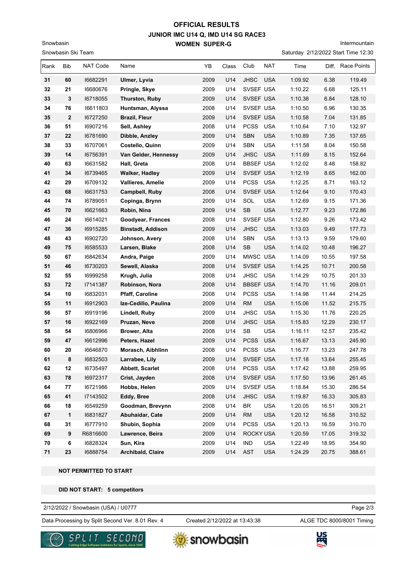## **JUNIOR IMC U14 Q, IMD U14 SG RACE3 WOMEN SUPER-G OFFICIAL RESULTS**

Intermountain

Saturday 2/12/2022 Start Time 12:30

| Rank | Bib              | NAT Code | Name                     | YB   | Class | Club             | NAT        | Time    |       | Diff. Race Points |
|------|------------------|----------|--------------------------|------|-------|------------------|------------|---------|-------|-------------------|
| 31   | 60               | 16682291 | Ulmer, Lyvia             | 2009 | U14   | <b>JHSC</b>      | <b>USA</b> | 1:09.92 | 6.38  | 119.49            |
| 32   | 21               | 16680676 | Pringle, Skye            | 2009 | U14   | SVSEF USA        |            | 1:10.22 | 6.68  | 125.11            |
| 33   | 3                | 16718055 | Thurston, Ruby           | 2009 | U14   | SVSEF USA        |            | 1:10.38 | 6.84  | 128.10            |
| 34   | 76               | 16611803 | Huntsman, Alyssa         | 2008 | U14   | SVSEF USA        |            | 1:10.50 | 6.96  | 130.35            |
| 35   | $\boldsymbol{2}$ | 16727250 | <b>Brazil, Fleur</b>     | 2009 | U14   | SVSEF USA        |            | 1:10.58 | 7.04  | 131.85            |
| 36   | 51               | 16907216 | Sell, Ashley             | 2008 | U14   | <b>PCSS</b>      | <b>USA</b> | 1:10.64 | 7.10  | 132.97            |
| 37   | 22               | 16781690 | Dibble, Anzley           | 2009 | U14   | <b>SBN</b>       | <b>USA</b> | 1:10.89 | 7.35  | 137.65            |
| 38   | 33               | 16707061 | Costello, Quinn          | 2009 | U14   | SBN              | <b>USA</b> | 1:11.58 | 8.04  | 150.58            |
| 39   | 14               | 16756391 | Van Gelder, Hennessy     | 2009 | U14   | <b>JHSC</b>      | <b>USA</b> | 1:11.69 | 8.15  | 152.64            |
| 40   | 63               | 16631582 | Hall, Greta              | 2008 | U14   | <b>BBSEF USA</b> |            | 1:12.02 | 8.48  | 158.82            |
| 41   | 34               | 16739465 | <b>Walker, Hadley</b>    | 2009 | U14   | SVSEF USA        |            | 1:12.19 | 8.65  | 162.00            |
| 42   | 29               | 16709132 | Vallieres, Amelie        | 2009 | U14   | PCSS USA         |            | 1:12.25 | 8.71  | 163.12            |
| 43   | 68               | 16631753 | Campbell, Ruby           | 2008 | U14   | SVSEF USA        |            | 1:12.64 | 9.10  | 170.43            |
| 44   | 74               | 16789051 | Copinga, Brynn           | 2009 | U14   | SOL              | <b>USA</b> | 1:12.69 | 9.15  | 171.36            |
| 45   | 70               | 16621663 | Robin, Nina              | 2009 | U14   | SB               | <b>USA</b> | 1:12.77 | 9.23  | 172.86            |
| 46   | 24               | 16614021 | Goodyear, Frances        | 2008 | U14   | SVSEF USA        |            | 1:12.80 | 9.26  | 173.42            |
| 47   | 36               | 16915285 | <b>Binstadt, Addison</b> | 2009 | U14   | <b>JHSC</b>      | <b>USA</b> | 1:13.03 | 9.49  | 177.73            |
| 48   | 43               | 16902720 | Johnson, Avery           | 2008 | U14   | <b>SBN</b>       | <b>USA</b> | 1:13.13 | 9.59  | 179.60            |
| 49   | 75               | 16585533 | Larsen, Blake            | 2008 | U14   | <b>SB</b>        | <b>USA</b> | 1:14.02 | 10.48 | 196.27            |
| 50   | 67               | 16842634 | Andra, Paige             | 2009 | U14   | MWSC USA         |            | 1:14.09 | 10.55 | 197.58            |
| 51   | 46               | 16730203 | Sewell, Alaska           | 2008 | U14   | SVSEF USA        |            | 1:14.25 | 10.71 | 200.58            |
| 52   | 55               | 16999258 | Krugh, Julia             | 2008 | U14   | <b>JHSC</b>      | <b>USA</b> | 1:14.29 | 10.75 | 201.33            |
| 53   | 72               | 17141387 | Robinson, Nora           | 2008 | U14   | <b>BBSEF USA</b> |            | 1:14.70 | 11.16 | 209.01            |
| 54   | 10               | 16832031 | Pfaff, Caroline          | 2008 | U14   | <b>PCSS</b>      | <b>USA</b> | 1:14.98 | 11.44 | 214.25            |
| 55   | 11               | 16912903 | Ize-Cedillo, Paulina     | 2009 | U14   | <b>RM</b>        | <b>USA</b> | 1:15.06 | 11.52 | 215.75            |
| 56   | 57               | 16919196 | Lindell, Ruby            | 2009 | U14   | <b>JHSC</b>      | <b>USA</b> | 1:15.30 | 11.76 | 220.25            |
| 57   | 16               | 16922169 | Pruzan, Neve             | 2008 | U14   | <b>JHSC</b>      | <b>USA</b> | 1:15.83 | 12.29 | 230.17            |
| 58   | 54               | 16806966 | Brower, Alta             | 2008 | U14   | SB               | <b>USA</b> | 1:16.11 | 12.57 | 235.42            |
| 59   | 47               | 16612996 | Peters, Hazel            | 2009 | U14   | <b>PCSS</b>      | <b>USA</b> | 1:16.67 | 13.13 | 245.90            |
| 60   | 20               | 16646870 | Morasch, Aibhlinn        | 2008 | U14   | PCSS             | <b>USA</b> | 1:16.77 | 13.23 | 247.78            |
| 61   | 8                | 16832503 | Larrabee, Lily           | 2009 | U14   | SVSEF USA        |            | 1:17.18 | 13.64 | 255.45            |
| 62   | 12               | 16735497 | <b>Abbett, Scarlet</b>   | 2008 | U14   | PCSS USA         |            | 1:17.42 | 13.88 | 259.95            |
| 63   | 78               | 16972317 | Crist, Jayden            | 2008 | U14   | SVSEF USA        |            | 1:17.50 | 13.96 | 261.45            |
| 64   | 77               | 16721986 | Hobbs, Helen             | 2009 | U14   | SVSEF USA        |            | 1:18.84 | 15.30 | 286.54            |
| 65   | 41               | 17143502 | Eddy, Bree               | 2008 | U14   | <b>JHSC</b>      | <b>USA</b> | 1:19.87 | 16.33 | 305.83            |
| 66   | 18               | 16549259 | Goodman, Brevynn         | 2008 | U14   | BR               | <b>USA</b> | 1:20.05 | 16.51 | 309.21            |
| 67   | $\mathbf{1}$     | 16831827 | Abuhaidar, Cate          | 2009 | U14   | <b>RM</b>        | <b>USA</b> | 1:20.12 | 16.58 | 310.52            |
| 68   | 31               | 16777910 | Shubin, Sophia           | 2009 | U14   | <b>PCSS</b>      | <b>USA</b> | 1:20.13 | 16.59 | 310.70            |
| 69   | 9                | R6816600 | Lawrence, Beira          | 2009 | U14   | ROCKY USA        |            | 1:20.59 | 17.05 | 319.32            |
| 70   | 6                | 16828324 | Sun, Kira                | 2009 | U14   | <b>IND</b>       | <b>USA</b> | 1:22.49 | 18.95 | 354.90            |
| 71   | 23               | 16888754 | Archibald, Claire        | 2009 | U14   | AST              | <b>USA</b> | 1:24.29 | 20.75 | 388.61            |

 **NOT PERMITTED TO START**

Snowbasin Ski Team

Snowbasin

 **DID NOT START: 5 competitors**

2/12/2022 / Snowbasin (USA) / U0777

Data Processing by Split Second Ver. 8.01 Rev. 4 Created 2/12/2022 at 13:43:38 ALGE TDC 8000/8001 Timing

Created 2/12/2022 at 13:43:38

Page 2/3